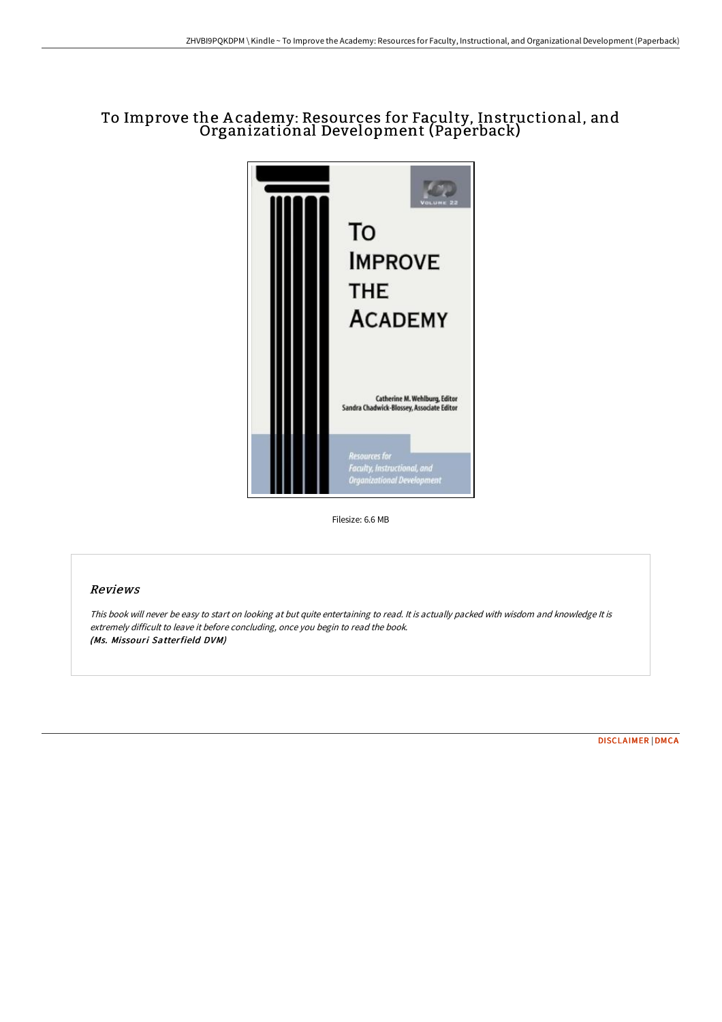# To Improve the A cademy: Resources for Faculty, Instructional, and Organizational Development (Paperback)



Filesize: 6.6 MB

## Reviews

This book will never be easy to start on looking at but quite entertaining to read. It is actually packed with wisdom and knowledge It is extremely difficult to leave it before concluding, once you begin to read the book. (Ms. Missouri Satterfield DVM)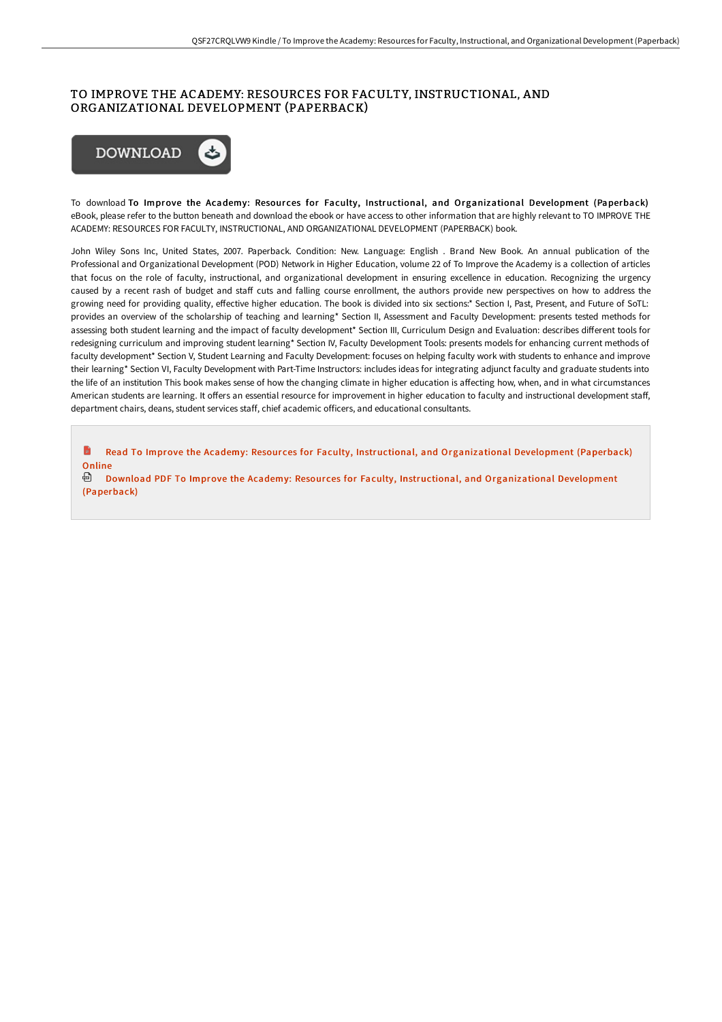## TO IMPROVE THE ACADEMY: RESOURCES FOR FACULTY, INSTRUCTIONAL, AND ORGANIZATIONAL DEVELOPMENT (PAPERBACK)



To download To Improve the Academy: Resources for Faculty, Instructional, and Organizational Development (Paperback) eBook, please refer to the button beneath and download the ebook or have access to other information that are highly relevant to TO IMPROVE THE ACADEMY: RESOURCES FOR FACULTY, INSTRUCTIONAL, AND ORGANIZATIONAL DEVELOPMENT (PAPERBACK) book.

John Wiley Sons Inc, United States, 2007. Paperback. Condition: New. Language: English . Brand New Book. An annual publication of the Professional and Organizational Development (POD) Network in Higher Education, volume 22 of To Improve the Academy is a collection of articles that focus on the role of faculty, instructional, and organizational development in ensuring excellence in education. Recognizing the urgency caused by a recent rash of budget and staff cuts and falling course enrollment, the authors provide new perspectives on how to address the growing need for providing quality, effective higher education. The book is divided into six sections:\* Section I, Past, Present, and Future of SoTL: provides an overview of the scholarship of teaching and learning\* Section II, Assessment and Faculty Development: presents tested methods for assessing both student learning and the impact of faculty development\* Section III, Curriculum Design and Evaluation: describes different tools for redesigning curriculum and improving student learning\* Section IV, Faculty Development Tools: presents models for enhancing current methods of faculty development\* Section V, Student Learning and Faculty Development: focuses on helping faculty work with students to enhance and improve their learning\* Section VI, Faculty Development with Part-Time Instructors: includes ideas for integrating adjunct faculty and graduate students into the life of an institution This book makes sense of how the changing climate in higher education is affecting how, when, and in what circumstances American students are learning. It offers an essential resource for improvement in higher education to faculty and instructional development staff, department chairs, deans, student services staff, chief academic officers, and educational consultants.

**D** Read To Improve the Academy: Resources for Faculty, Instructional, and [Organizational](http://bookera.tech/to-improve-the-academy-resources-for-faculty-ins-1.html) Development (Paperback) Online

Download PDF To Improve the Academy: Resour ces for Faculty, Instructional, and [Organizational](http://bookera.tech/to-improve-the-academy-resources-for-faculty-ins-1.html) Development (Paperback)